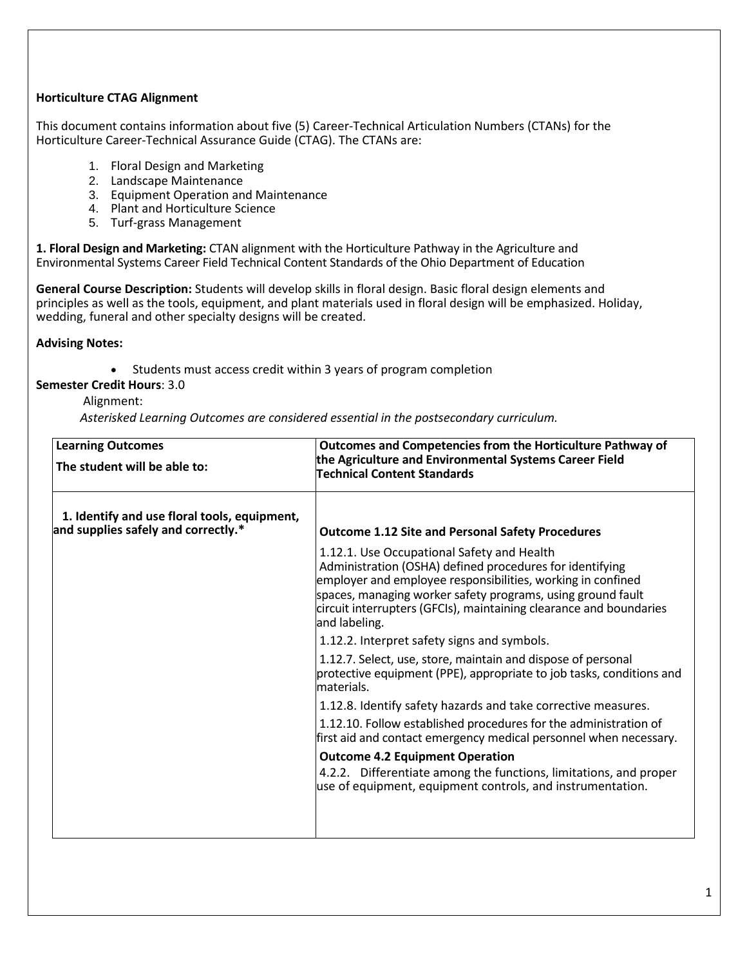# **Horticulture CTAG Alignment**

This document contains information about five (5) Career-Technical Articulation Numbers (CTANs) for the Horticulture Career-Technical Assurance Guide (CTAG). The CTANs are:

- 1. Floral Design and Marketing
- 2. Landscape Maintenance
- 3. Equipment Operation and Maintenance
- 4. Plant and Horticulture Science
- 5. Turf-grass Management

**1. Floral Design and Marketing:** CTAN alignment with the Horticulture Pathway in the Agriculture and Environmental Systems Career Field Technical Content Standards of the Ohio Department of Education

**General Course Description:** Students will develop skills in floral design. Basic floral design elements and principles as well as the tools, equipment, and plant materials used in floral design will be emphasized. Holiday, wedding, funeral and other specialty designs will be created.

**Advising Notes:**

• Students must access credit within 3 years of program completion

# **Semester Credit Hours**: 3.0

# Alignment:

| <b>Learning Outcomes</b>                                                            | Outcomes and Competencies from the Horticulture Pathway of<br>the Agriculture and Environmental Systems Career Field<br><b>Technical Content Standards</b>                                                                                                                                                                  |
|-------------------------------------------------------------------------------------|-----------------------------------------------------------------------------------------------------------------------------------------------------------------------------------------------------------------------------------------------------------------------------------------------------------------------------|
| The student will be able to:                                                        |                                                                                                                                                                                                                                                                                                                             |
| 1. Identify and use floral tools, equipment,<br>and supplies safely and correctly.* | <b>Outcome 1.12 Site and Personal Safety Procedures</b>                                                                                                                                                                                                                                                                     |
|                                                                                     | 1.12.1. Use Occupational Safety and Health<br>Administration (OSHA) defined procedures for identifying<br>employer and employee responsibilities, working in confined<br>spaces, managing worker safety programs, using ground fault<br>circuit interrupters (GFCIs), maintaining clearance and boundaries<br>and labeling. |
|                                                                                     | 1.12.2. Interpret safety signs and symbols.                                                                                                                                                                                                                                                                                 |
|                                                                                     | 1.12.7. Select, use, store, maintain and dispose of personal<br>protective equipment (PPE), appropriate to job tasks, conditions and<br>materials.                                                                                                                                                                          |
|                                                                                     | 1.12.8. Identify safety hazards and take corrective measures.                                                                                                                                                                                                                                                               |
|                                                                                     | 1.12.10. Follow established procedures for the administration of<br>first aid and contact emergency medical personnel when necessary.                                                                                                                                                                                       |
|                                                                                     | <b>Outcome 4.2 Equipment Operation</b>                                                                                                                                                                                                                                                                                      |
|                                                                                     | 4.2.2. Differentiate among the functions, limitations, and proper<br>use of equipment, equipment controls, and instrumentation.                                                                                                                                                                                             |
|                                                                                     |                                                                                                                                                                                                                                                                                                                             |
|                                                                                     |                                                                                                                                                                                                                                                                                                                             |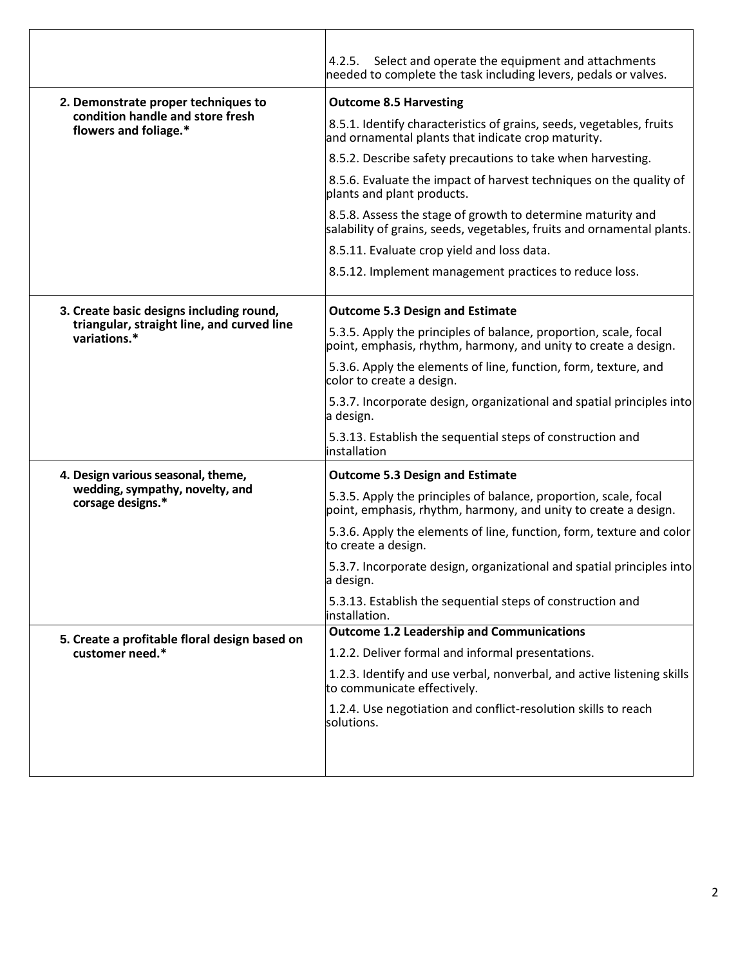|                                                            | 4.2.5. Select and operate the equipment and attachments<br>needed to complete the task including levers, pedals or valves.            |
|------------------------------------------------------------|---------------------------------------------------------------------------------------------------------------------------------------|
| 2. Demonstrate proper techniques to                        | <b>Outcome 8.5 Harvesting</b>                                                                                                         |
| condition handle and store fresh<br>flowers and foliage.*  | 8.5.1. Identify characteristics of grains, seeds, vegetables, fruits<br>and ornamental plants that indicate crop maturity.            |
|                                                            | 8.5.2. Describe safety precautions to take when harvesting.                                                                           |
|                                                            | 8.5.6. Evaluate the impact of harvest techniques on the quality of<br>plants and plant products.                                      |
|                                                            | 8.5.8. Assess the stage of growth to determine maturity and<br>salability of grains, seeds, vegetables, fruits and ornamental plants. |
|                                                            | 8.5.11. Evaluate crop yield and loss data.                                                                                            |
|                                                            | 8.5.12. Implement management practices to reduce loss.                                                                                |
| 3. Create basic designs including round,                   | <b>Outcome 5.3 Design and Estimate</b>                                                                                                |
| triangular, straight line, and curved line<br>variations.* | 5.3.5. Apply the principles of balance, proportion, scale, focal<br>point, emphasis, rhythm, harmony, and unity to create a design.   |
|                                                            | 5.3.6. Apply the elements of line, function, form, texture, and<br>color to create a design.                                          |
|                                                            | 5.3.7. Incorporate design, organizational and spatial principles into<br>a design.                                                    |
|                                                            | 5.3.13. Establish the sequential steps of construction and<br>installation                                                            |
| 4. Design various seasonal, theme,                         | <b>Outcome 5.3 Design and Estimate</b>                                                                                                |
| wedding, sympathy, novelty, and<br>corsage designs.*       | 5.3.5. Apply the principles of balance, proportion, scale, focal<br>point, emphasis, rhythm, harmony, and unity to create a design.   |
|                                                            | 5.3.6. Apply the elements of line, function, form, texture and color<br>to create a design.                                           |
|                                                            | 5.3.7. Incorporate design, organizational and spatial principles into<br>a design.                                                    |
|                                                            | 5.3.13. Establish the sequential steps of construction and<br>installation.                                                           |
| 5. Create a profitable floral design based on              | <b>Outcome 1.2 Leadership and Communications</b>                                                                                      |
| customer need.*                                            | 1.2.2. Deliver formal and informal presentations.                                                                                     |
|                                                            | 1.2.3. Identify and use verbal, nonverbal, and active listening skills<br>to communicate effectively.                                 |
|                                                            | 1.2.4. Use negotiation and conflict-resolution skills to reach<br>solutions.                                                          |
|                                                            |                                                                                                                                       |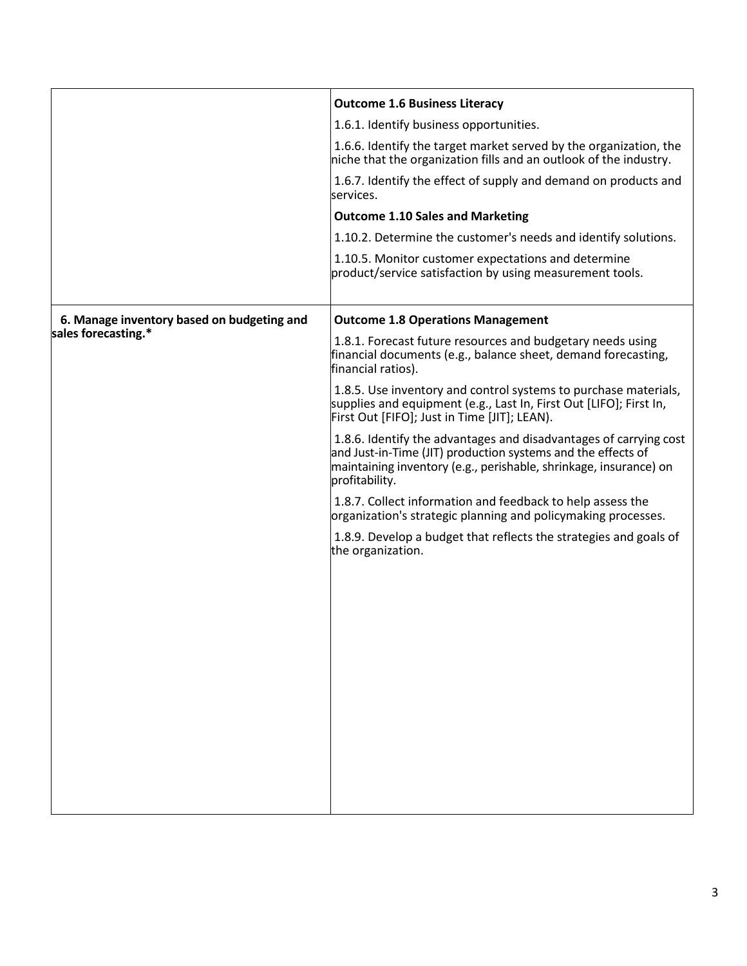|                                            | <b>Outcome 1.6 Business Literacy</b>                                                                                                                                                                                     |
|--------------------------------------------|--------------------------------------------------------------------------------------------------------------------------------------------------------------------------------------------------------------------------|
|                                            | 1.6.1. Identify business opportunities.                                                                                                                                                                                  |
|                                            | 1.6.6. Identify the target market served by the organization, the<br>niche that the organization fills and an outlook of the industry.                                                                                   |
|                                            | 1.6.7. Identify the effect of supply and demand on products and<br>services.                                                                                                                                             |
|                                            | <b>Outcome 1.10 Sales and Marketing</b>                                                                                                                                                                                  |
|                                            | 1.10.2. Determine the customer's needs and identify solutions.                                                                                                                                                           |
|                                            | 1.10.5. Monitor customer expectations and determine<br>product/service satisfaction by using measurement tools.                                                                                                          |
| 6. Manage inventory based on budgeting and | <b>Outcome 1.8 Operations Management</b>                                                                                                                                                                                 |
| sales forecasting.*                        | 1.8.1. Forecast future resources and budgetary needs using<br>financial documents (e.g., balance sheet, demand forecasting,<br>financial ratios).                                                                        |
|                                            | 1.8.5. Use inventory and control systems to purchase materials,<br>supplies and equipment (e.g., Last In, First Out [LIFO]; First In,<br>First Out [FIFO]; Just in Time [JIT]; LEAN).                                    |
|                                            | 1.8.6. Identify the advantages and disadvantages of carrying cost<br>and Just-in-Time (JIT) production systems and the effects of<br>maintaining inventory (e.g., perishable, shrinkage, insurance) on<br>profitability. |
|                                            | 1.8.7. Collect information and feedback to help assess the<br>organization's strategic planning and policymaking processes.                                                                                              |
|                                            | 1.8.9. Develop a budget that reflects the strategies and goals of<br>the organization.                                                                                                                                   |
|                                            |                                                                                                                                                                                                                          |
|                                            |                                                                                                                                                                                                                          |
|                                            |                                                                                                                                                                                                                          |
|                                            |                                                                                                                                                                                                                          |
|                                            |                                                                                                                                                                                                                          |
|                                            |                                                                                                                                                                                                                          |
|                                            |                                                                                                                                                                                                                          |
|                                            |                                                                                                                                                                                                                          |
|                                            |                                                                                                                                                                                                                          |
|                                            |                                                                                                                                                                                                                          |
|                                            |                                                                                                                                                                                                                          |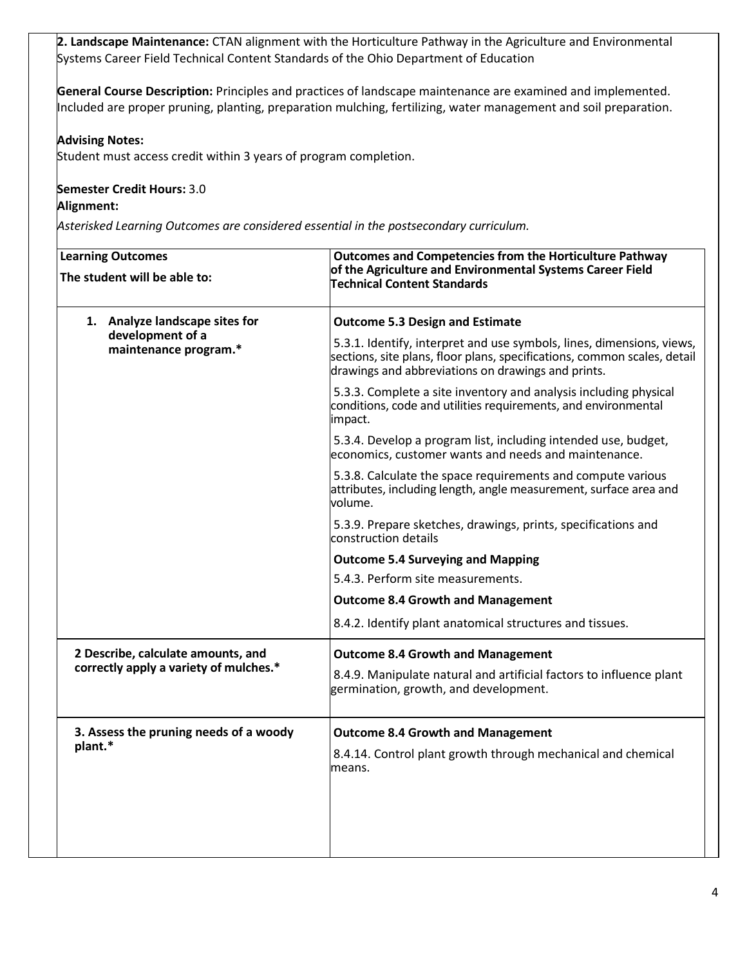**2. Landscape Maintenance:** CTAN alignment with the Horticulture Pathway in the Agriculture and Environmental Systems Career Field Technical Content Standards of the Ohio Department of Education

**General Course Description:** Principles and practices of landscape maintenance are examined and implemented. Included are proper pruning, planting, preparation mulching, fertilizing, water management and soil preparation.

# **Advising Notes:**

Student must access credit within 3 years of program completion.

# **Semester Credit Hours:** 3.0

## **Alignment:**

| <b>Learning Outcomes</b><br>The student will be able to:                    | <b>Outcomes and Competencies from the Horticulture Pathway</b><br>of the Agriculture and Environmental Systems Career Field<br><b>Technical Content Standards</b>                                       |
|-----------------------------------------------------------------------------|---------------------------------------------------------------------------------------------------------------------------------------------------------------------------------------------------------|
| 1. Analyze landscape sites for<br>development of a<br>maintenance program.* | <b>Outcome 5.3 Design and Estimate</b>                                                                                                                                                                  |
|                                                                             | 5.3.1. Identify, interpret and use symbols, lines, dimensions, views,<br>sections, site plans, floor plans, specifications, common scales, detail<br>drawings and abbreviations on drawings and prints. |
|                                                                             | 5.3.3. Complete a site inventory and analysis including physical<br>conditions, code and utilities requirements, and environmental<br>impact.                                                           |
|                                                                             | 5.3.4. Develop a program list, including intended use, budget,<br>economics, customer wants and needs and maintenance.                                                                                  |
|                                                                             | 5.3.8. Calculate the space requirements and compute various<br>attributes, including length, angle measurement, surface area and<br>volume.                                                             |
|                                                                             | 5.3.9. Prepare sketches, drawings, prints, specifications and<br>construction details                                                                                                                   |
|                                                                             | <b>Outcome 5.4 Surveying and Mapping</b>                                                                                                                                                                |
|                                                                             | 5.4.3. Perform site measurements.                                                                                                                                                                       |
|                                                                             | <b>Outcome 8.4 Growth and Management</b>                                                                                                                                                                |
|                                                                             | 8.4.2. Identify plant anatomical structures and tissues.                                                                                                                                                |
| 2 Describe, calculate amounts, and                                          | <b>Outcome 8.4 Growth and Management</b>                                                                                                                                                                |
| correctly apply a variety of mulches.*                                      | 8.4.9. Manipulate natural and artificial factors to influence plant<br>germination, growth, and development.                                                                                            |
| 3. Assess the pruning needs of a woody<br>plant.*                           | <b>Outcome 8.4 Growth and Management</b>                                                                                                                                                                |
|                                                                             | 8.4.14. Control plant growth through mechanical and chemical<br>means.                                                                                                                                  |
|                                                                             |                                                                                                                                                                                                         |
|                                                                             |                                                                                                                                                                                                         |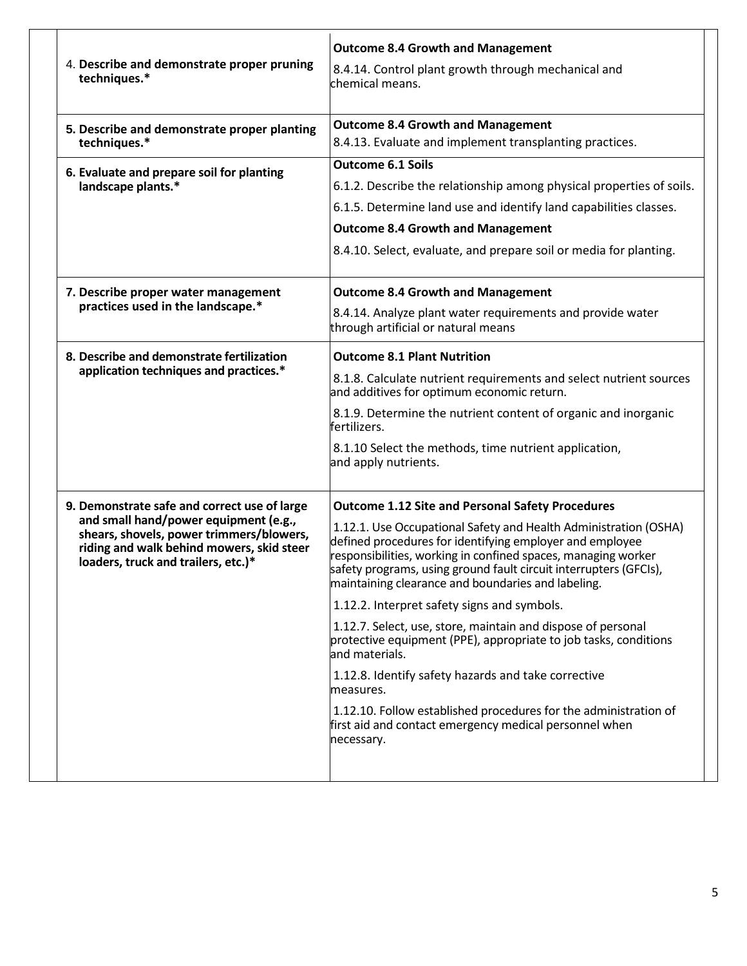| 4. Describe and demonstrate proper pruning<br>techniques.*                                                                                                                                                            | <b>Outcome 8.4 Growth and Management</b><br>8.4.14. Control plant growth through mechanical and<br>chemical means.                                                                                                                                                                                                                                                                                                                                                                                                                                                                                                                                                                                                                                                                                       |
|-----------------------------------------------------------------------------------------------------------------------------------------------------------------------------------------------------------------------|----------------------------------------------------------------------------------------------------------------------------------------------------------------------------------------------------------------------------------------------------------------------------------------------------------------------------------------------------------------------------------------------------------------------------------------------------------------------------------------------------------------------------------------------------------------------------------------------------------------------------------------------------------------------------------------------------------------------------------------------------------------------------------------------------------|
| 5. Describe and demonstrate proper planting<br>techniques.*                                                                                                                                                           | <b>Outcome 8.4 Growth and Management</b><br>8.4.13. Evaluate and implement transplanting practices.                                                                                                                                                                                                                                                                                                                                                                                                                                                                                                                                                                                                                                                                                                      |
| 6. Evaluate and prepare soil for planting<br>landscape plants.*                                                                                                                                                       | <b>Outcome 6.1 Soils</b><br>6.1.2. Describe the relationship among physical properties of soils.<br>6.1.5. Determine land use and identify land capabilities classes.<br><b>Outcome 8.4 Growth and Management</b><br>8.4.10. Select, evaluate, and prepare soil or media for planting.                                                                                                                                                                                                                                                                                                                                                                                                                                                                                                                   |
| 7. Describe proper water management<br>practices used in the landscape.*                                                                                                                                              | <b>Outcome 8.4 Growth and Management</b><br>8.4.14. Analyze plant water requirements and provide water<br>through artificial or natural means                                                                                                                                                                                                                                                                                                                                                                                                                                                                                                                                                                                                                                                            |
| 8. Describe and demonstrate fertilization<br>application techniques and practices.*                                                                                                                                   | <b>Outcome 8.1 Plant Nutrition</b><br>8.1.8. Calculate nutrient requirements and select nutrient sources<br>and additives for optimum economic return.<br>8.1.9. Determine the nutrient content of organic and inorganic<br>lfertilizers.<br>8.1.10 Select the methods, time nutrient application,<br>and apply nutrients.                                                                                                                                                                                                                                                                                                                                                                                                                                                                               |
| 9. Demonstrate safe and correct use of large<br>and small hand/power equipment (e.g.,<br>shears, shovels, power trimmers/blowers,<br>riding and walk behind mowers, skid steer<br>loaders, truck and trailers, etc.)* | <b>Outcome 1.12 Site and Personal Safety Procedures</b><br>1.12.1. Use Occupational Safety and Health Administration (OSHA)<br>defined procedures for identifying employer and employee<br>responsibilities, working in confined spaces, managing worker<br>safety programs, using ground fault circuit interrupters (GFCIs),<br>maintaining clearance and boundaries and labeling.<br>1.12.2. Interpret safety signs and symbols.<br>1.12.7. Select, use, store, maintain and dispose of personal<br>protective equipment (PPE), appropriate to job tasks, conditions<br>and materials.<br>1.12.8. Identify safety hazards and take corrective<br>measures.<br>1.12.10. Follow established procedures for the administration of<br>first aid and contact emergency medical personnel when<br>necessary. |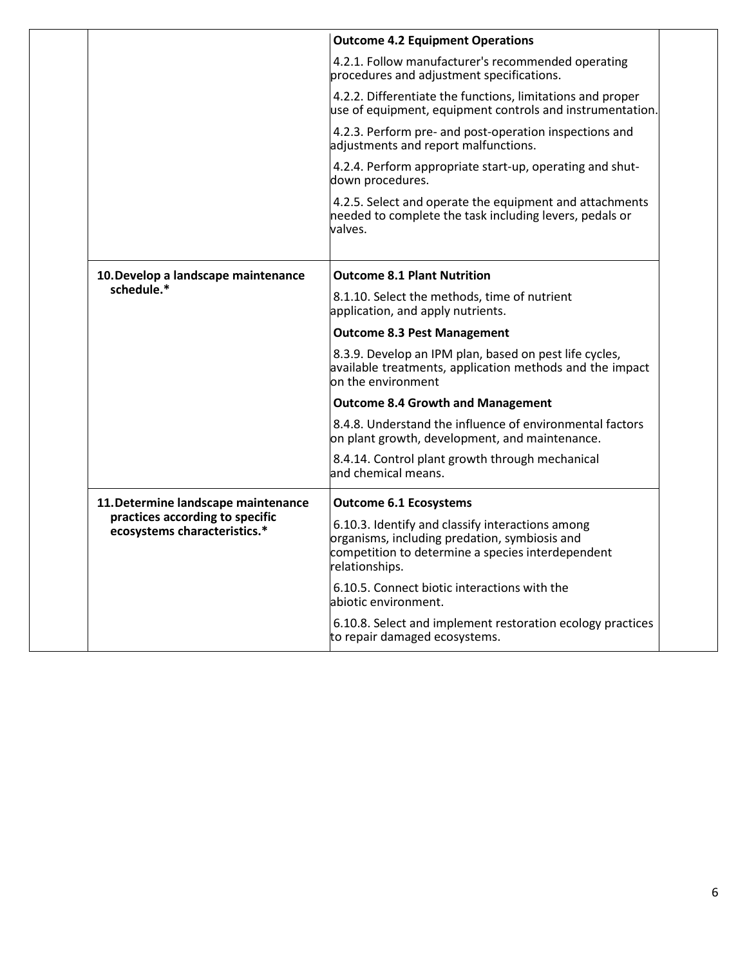|                                                                 | <b>Outcome 4.2 Equipment Operations</b>                                                                                                                                  |
|-----------------------------------------------------------------|--------------------------------------------------------------------------------------------------------------------------------------------------------------------------|
|                                                                 | 4.2.1. Follow manufacturer's recommended operating<br>procedures and adjustment specifications.                                                                          |
|                                                                 | 4.2.2. Differentiate the functions, limitations and proper<br>use of equipment, equipment controls and instrumentation.                                                  |
|                                                                 | 4.2.3. Perform pre- and post-operation inspections and<br>adjustments and report malfunctions.                                                                           |
|                                                                 | 4.2.4. Perform appropriate start-up, operating and shut-<br>down procedures.                                                                                             |
|                                                                 | 4.2.5. Select and operate the equipment and attachments<br>needed to complete the task including levers, pedals or<br>valves.                                            |
| 10. Develop a landscape maintenance                             | <b>Outcome 8.1 Plant Nutrition</b>                                                                                                                                       |
| schedule.*                                                      | 8.1.10. Select the methods, time of nutrient<br>application, and apply nutrients.                                                                                        |
|                                                                 | <b>Outcome 8.3 Pest Management</b>                                                                                                                                       |
|                                                                 | 8.3.9. Develop an IPM plan, based on pest life cycles,<br>available treatments, application methods and the impact<br>on the environment                                 |
|                                                                 | <b>Outcome 8.4 Growth and Management</b>                                                                                                                                 |
|                                                                 | 8.4.8. Understand the influence of environmental factors<br>on plant growth, development, and maintenance.                                                               |
|                                                                 | 8.4.14. Control plant growth through mechanical<br>and chemical means.                                                                                                   |
| 11. Determine landscape maintenance                             | <b>Outcome 6.1 Ecosystems</b>                                                                                                                                            |
| practices according to specific<br>ecosystems characteristics.* | 6.10.3. Identify and classify interactions among<br>organisms, including predation, symbiosis and<br>competition to determine a species interdependent<br>relationships. |
|                                                                 | 6.10.5. Connect biotic interactions with the<br>abiotic environment.                                                                                                     |
|                                                                 | 6.10.8. Select and implement restoration ecology practices<br>to repair damaged ecosystems.                                                                              |
|                                                                 |                                                                                                                                                                          |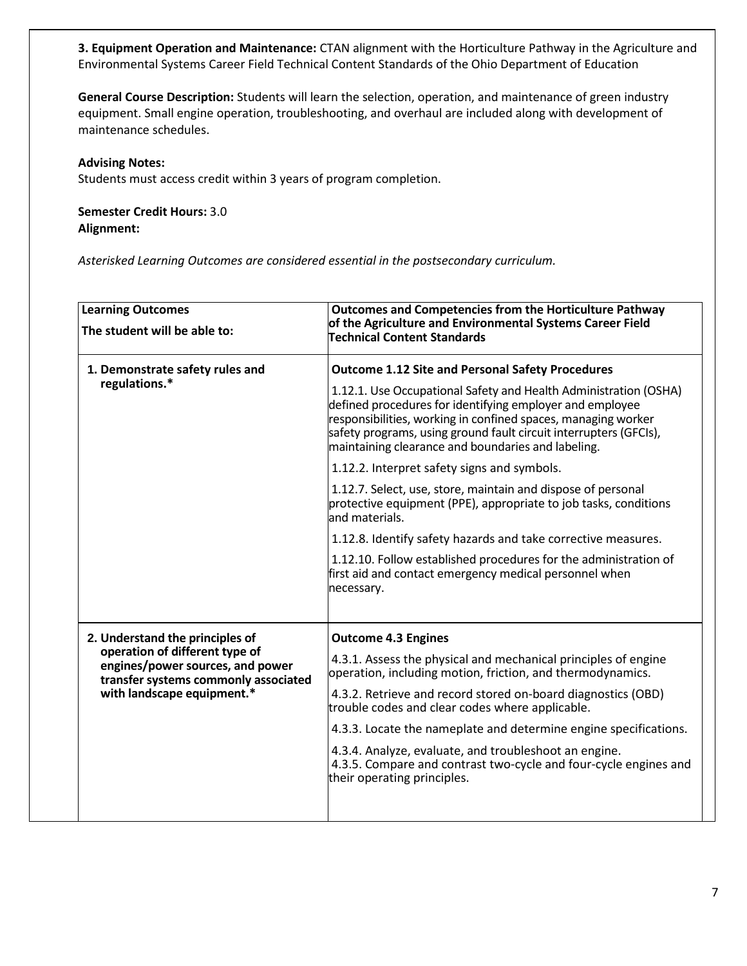**3. Equipment Operation and Maintenance:** CTAN alignment with the Horticulture Pathway in the Agriculture and Environmental Systems Career Field Technical Content Standards of the Ohio Department of Education

**General Course Description:** Students will learn the selection, operation, and maintenance of green industry equipment. Small engine operation, troubleshooting, and overhaul are included along with development of maintenance schedules.

#### **Advising Notes:**

Students must access credit within 3 years of program completion.

## **Semester Credit Hours:** 3.0 **Alignment:**

| <b>Learning Outcomes</b><br>The student will be able to:                                                                                 | <b>Outcomes and Competencies from the Horticulture Pathway</b><br>of the Agriculture and Environmental Systems Career Field<br><b>Technical Content Standards</b>                                                                                                                                                        |
|------------------------------------------------------------------------------------------------------------------------------------------|--------------------------------------------------------------------------------------------------------------------------------------------------------------------------------------------------------------------------------------------------------------------------------------------------------------------------|
| 1. Demonstrate safety rules and<br>regulations.*                                                                                         | <b>Outcome 1.12 Site and Personal Safety Procedures</b>                                                                                                                                                                                                                                                                  |
|                                                                                                                                          | 1.12.1. Use Occupational Safety and Health Administration (OSHA)<br>defined procedures for identifying employer and employee<br>responsibilities, working in confined spaces, managing worker<br>safety programs, using ground fault circuit interrupters (GFCIs),<br>maintaining clearance and boundaries and labeling. |
|                                                                                                                                          | 1.12.2. Interpret safety signs and symbols.                                                                                                                                                                                                                                                                              |
|                                                                                                                                          | 1.12.7. Select, use, store, maintain and dispose of personal<br>protective equipment (PPE), appropriate to job tasks, conditions<br>and materials.                                                                                                                                                                       |
|                                                                                                                                          | 1.12.8. Identify safety hazards and take corrective measures.                                                                                                                                                                                                                                                            |
|                                                                                                                                          | 1.12.10. Follow established procedures for the administration of<br>first aid and contact emergency medical personnel when<br>necessary.                                                                                                                                                                                 |
| 2. Understand the principles of                                                                                                          | <b>Outcome 4.3 Engines</b>                                                                                                                                                                                                                                                                                               |
| operation of different type of<br>engines/power sources, and power<br>transfer systems commonly associated<br>with landscape equipment.* | 4.3.1. Assess the physical and mechanical principles of engine<br>operation, including motion, friction, and thermodynamics.                                                                                                                                                                                             |
|                                                                                                                                          | 4.3.2. Retrieve and record stored on-board diagnostics (OBD)<br>trouble codes and clear codes where applicable.                                                                                                                                                                                                          |
|                                                                                                                                          | 4.3.3. Locate the nameplate and determine engine specifications.                                                                                                                                                                                                                                                         |
|                                                                                                                                          | 4.3.4. Analyze, evaluate, and troubleshoot an engine.<br>4.3.5. Compare and contrast two-cycle and four-cycle engines and<br>their operating principles.                                                                                                                                                                 |
|                                                                                                                                          |                                                                                                                                                                                                                                                                                                                          |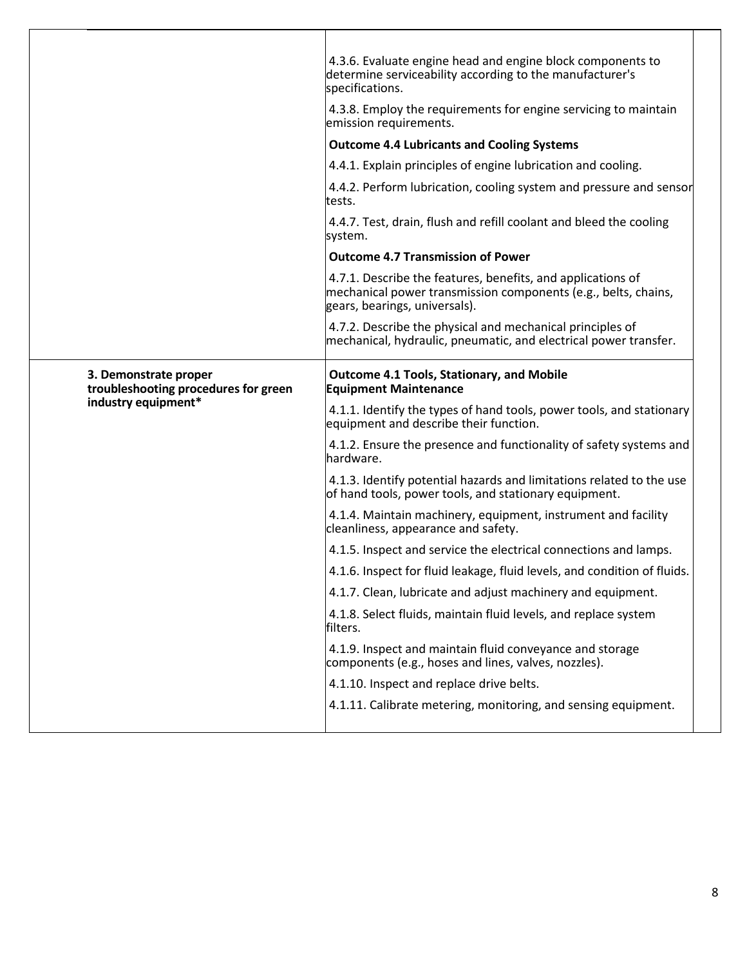| 4.3.6. Evaluate engine head and engine block components to<br>determine serviceability according to the manufacturer's<br>specifications.                      |
|----------------------------------------------------------------------------------------------------------------------------------------------------------------|
| 4.3.8. Employ the requirements for engine servicing to maintain<br>emission requirements.                                                                      |
| <b>Outcome 4.4 Lubricants and Cooling Systems</b>                                                                                                              |
| 4.4.1. Explain principles of engine lubrication and cooling.                                                                                                   |
| 4.4.2. Perform lubrication, cooling system and pressure and sensor<br>tests.                                                                                   |
| 4.4.7. Test, drain, flush and refill coolant and bleed the cooling<br>system.                                                                                  |
| <b>Outcome 4.7 Transmission of Power</b>                                                                                                                       |
| 4.7.1. Describe the features, benefits, and applications of<br>mechanical power transmission components (e.g., belts, chains,<br>gears, bearings, universals). |
| 4.7.2. Describe the physical and mechanical principles of<br>mechanical, hydraulic, pneumatic, and electrical power transfer.                                  |
| <b>Outcome 4.1 Tools, Stationary, and Mobile</b><br><b>Equipment Maintenance</b>                                                                               |
| 4.1.1. Identify the types of hand tools, power tools, and stationary<br>equipment and describe their function.                                                 |
| 4.1.2. Ensure the presence and functionality of safety systems and<br>hardware.                                                                                |
| 4.1.3. Identify potential hazards and limitations related to the use<br>of hand tools, power tools, and stationary equipment.                                  |
| 4.1.4. Maintain machinery, equipment, instrument and facility<br>cleanliness, appearance and safety.                                                           |
|                                                                                                                                                                |
| 4.1.5. Inspect and service the electrical connections and lamps.                                                                                               |
| 4.1.6. Inspect for fluid leakage, fluid levels, and condition of fluids.                                                                                       |
| 4.1.7. Clean, lubricate and adjust machinery and equipment.                                                                                                    |
| 4.1.8. Select fluids, maintain fluid levels, and replace system<br>filters.                                                                                    |
| 4.1.9. Inspect and maintain fluid conveyance and storage<br>components (e.g., hoses and lines, valves, nozzles).                                               |
| 4.1.10. Inspect and replace drive belts.                                                                                                                       |
|                                                                                                                                                                |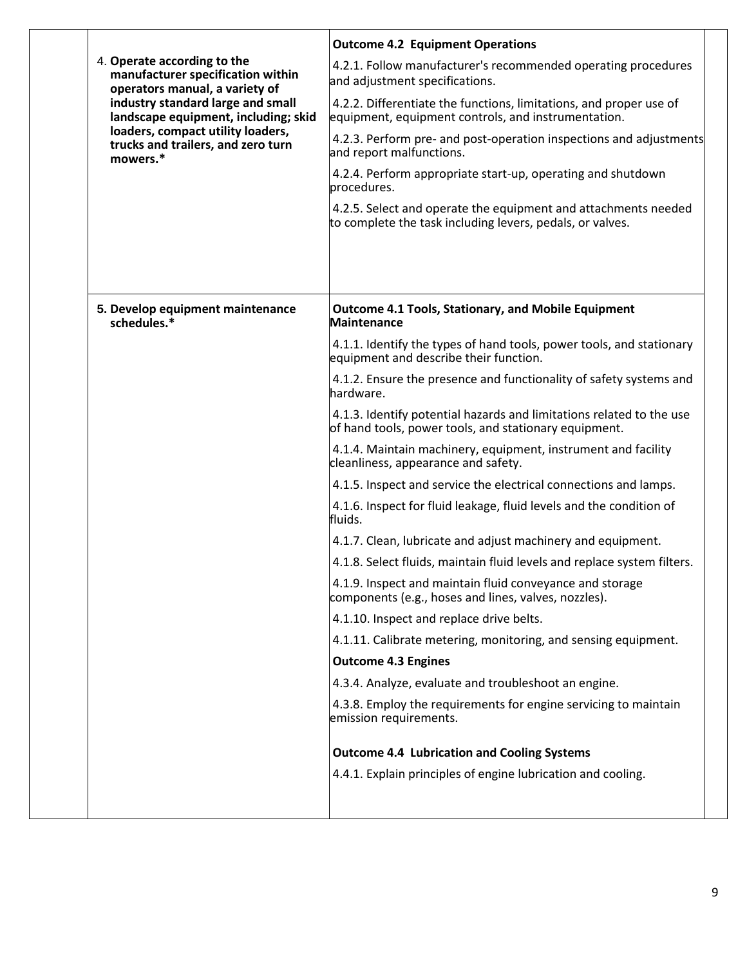| 4. Operate according to the<br>manufacturer specification within<br>operators manual, a variety of<br>industry standard large and small<br>landscape equipment, including; skid<br>loaders, compact utility loaders,<br>trucks and trailers, and zero turn<br>mowers.* | <b>Outcome 4.2 Equipment Operations</b>                                                                                       |
|------------------------------------------------------------------------------------------------------------------------------------------------------------------------------------------------------------------------------------------------------------------------|-------------------------------------------------------------------------------------------------------------------------------|
|                                                                                                                                                                                                                                                                        | 4.2.1. Follow manufacturer's recommended operating procedures<br>and adjustment specifications.                               |
|                                                                                                                                                                                                                                                                        | 4.2.2. Differentiate the functions, limitations, and proper use of<br>equipment, equipment controls, and instrumentation.     |
|                                                                                                                                                                                                                                                                        | 4.2.3. Perform pre- and post-operation inspections and adjustments<br>and report malfunctions.                                |
|                                                                                                                                                                                                                                                                        | 4.2.4. Perform appropriate start-up, operating and shutdown<br>procedures.                                                    |
|                                                                                                                                                                                                                                                                        | 4.2.5. Select and operate the equipment and attachments needed<br>to complete the task including levers, pedals, or valves.   |
|                                                                                                                                                                                                                                                                        |                                                                                                                               |
| 5. Develop equipment maintenance<br>schedules.*                                                                                                                                                                                                                        | <b>Outcome 4.1 Tools, Stationary, and Mobile Equipment</b><br><b>Maintenance</b>                                              |
|                                                                                                                                                                                                                                                                        | 4.1.1. Identify the types of hand tools, power tools, and stationary<br>equipment and describe their function.                |
|                                                                                                                                                                                                                                                                        | 4.1.2. Ensure the presence and functionality of safety systems and<br>hardware.                                               |
|                                                                                                                                                                                                                                                                        | 4.1.3. Identify potential hazards and limitations related to the use<br>of hand tools, power tools, and stationary equipment. |
|                                                                                                                                                                                                                                                                        | 4.1.4. Maintain machinery, equipment, instrument and facility<br>cleanliness, appearance and safety.                          |
|                                                                                                                                                                                                                                                                        | 4.1.5. Inspect and service the electrical connections and lamps.                                                              |
|                                                                                                                                                                                                                                                                        | 4.1.6. Inspect for fluid leakage, fluid levels and the condition of<br>fluids.                                                |
|                                                                                                                                                                                                                                                                        | 4.1.7. Clean, lubricate and adjust machinery and equipment.                                                                   |
|                                                                                                                                                                                                                                                                        | 4.1.8. Select fluids, maintain fluid levels and replace system filters.                                                       |
|                                                                                                                                                                                                                                                                        | 4.1.9. Inspect and maintain fluid conveyance and storage<br>components (e.g., hoses and lines, valves, nozzles).              |
|                                                                                                                                                                                                                                                                        | 4.1.10. Inspect and replace drive belts.                                                                                      |
|                                                                                                                                                                                                                                                                        | 4.1.11. Calibrate metering, monitoring, and sensing equipment.                                                                |
|                                                                                                                                                                                                                                                                        | <b>Outcome 4.3 Engines</b>                                                                                                    |
|                                                                                                                                                                                                                                                                        | 4.3.4. Analyze, evaluate and troubleshoot an engine.                                                                          |
|                                                                                                                                                                                                                                                                        | 4.3.8. Employ the requirements for engine servicing to maintain<br>emission requirements.                                     |
|                                                                                                                                                                                                                                                                        | <b>Outcome 4.4 Lubrication and Cooling Systems</b>                                                                            |
|                                                                                                                                                                                                                                                                        | 4.4.1. Explain principles of engine lubrication and cooling.                                                                  |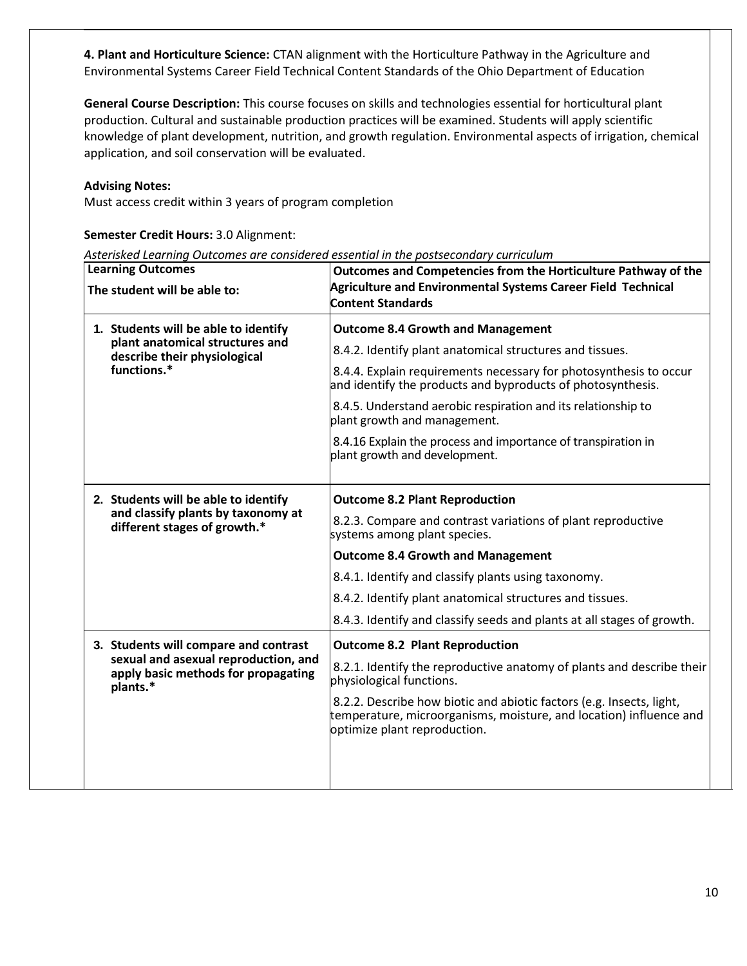**4. Plant and Horticulture Science:** CTAN alignment with the Horticulture Pathway in the Agriculture and Environmental Systems Career Field Technical Content Standards of the Ohio Department of Education

**General Course Description:** This course focuses on skills and technologies essential for horticultural plant production. Cultural and sustainable production practices will be examined. Students will apply scientific knowledge of plant development, nutrition, and growth regulation. Environmental aspects of irrigation, chemical application, and soil conservation will be evaluated.

#### **Advising Notes:**

Must access credit within 3 years of program completion

# **Semester Credit Hours:** 3.0 Alignment:

| <b>Learning Outcomes</b><br>The student will be able to:                                                               | Outcomes and Competencies from the Horticulture Pathway of the<br>Agriculture and Environmental Systems Career Field Technical<br><b>Content Standards</b>                 |
|------------------------------------------------------------------------------------------------------------------------|----------------------------------------------------------------------------------------------------------------------------------------------------------------------------|
| 1. Students will be able to identify<br>plant anatomical structures and<br>describe their physiological<br>functions.* | <b>Outcome 8.4 Growth and Management</b>                                                                                                                                   |
|                                                                                                                        | 8.4.2. Identify plant anatomical structures and tissues.                                                                                                                   |
|                                                                                                                        | 8.4.4. Explain requirements necessary for photosynthesis to occur<br>and identify the products and byproducts of photosynthesis.                                           |
|                                                                                                                        | 8.4.5. Understand aerobic respiration and its relationship to<br>plant growth and management.                                                                              |
|                                                                                                                        | 8.4.16 Explain the process and importance of transpiration in<br>plant growth and development.                                                                             |
| 2. Students will be able to identify                                                                                   | <b>Outcome 8.2 Plant Reproduction</b>                                                                                                                                      |
| and classify plants by taxonomy at<br>different stages of growth.*                                                     | 8.2.3. Compare and contrast variations of plant reproductive<br>systems among plant species.                                                                               |
|                                                                                                                        | <b>Outcome 8.4 Growth and Management</b>                                                                                                                                   |
|                                                                                                                        | 8.4.1. Identify and classify plants using taxonomy.                                                                                                                        |
|                                                                                                                        | 8.4.2. Identify plant anatomical structures and tissues.                                                                                                                   |
|                                                                                                                        | 8.4.3. Identify and classify seeds and plants at all stages of growth.                                                                                                     |
| 3. Students will compare and contrast                                                                                  | <b>Outcome 8.2 Plant Reproduction</b>                                                                                                                                      |
| sexual and asexual reproduction, and<br>apply basic methods for propagating<br>plants.*                                | 8.2.1. Identify the reproductive anatomy of plants and describe their<br>physiological functions.                                                                          |
|                                                                                                                        | 8.2.2. Describe how biotic and abiotic factors (e.g. Insects, light,<br>temperature, microorganisms, moisture, and location) influence and<br>optimize plant reproduction. |
|                                                                                                                        |                                                                                                                                                                            |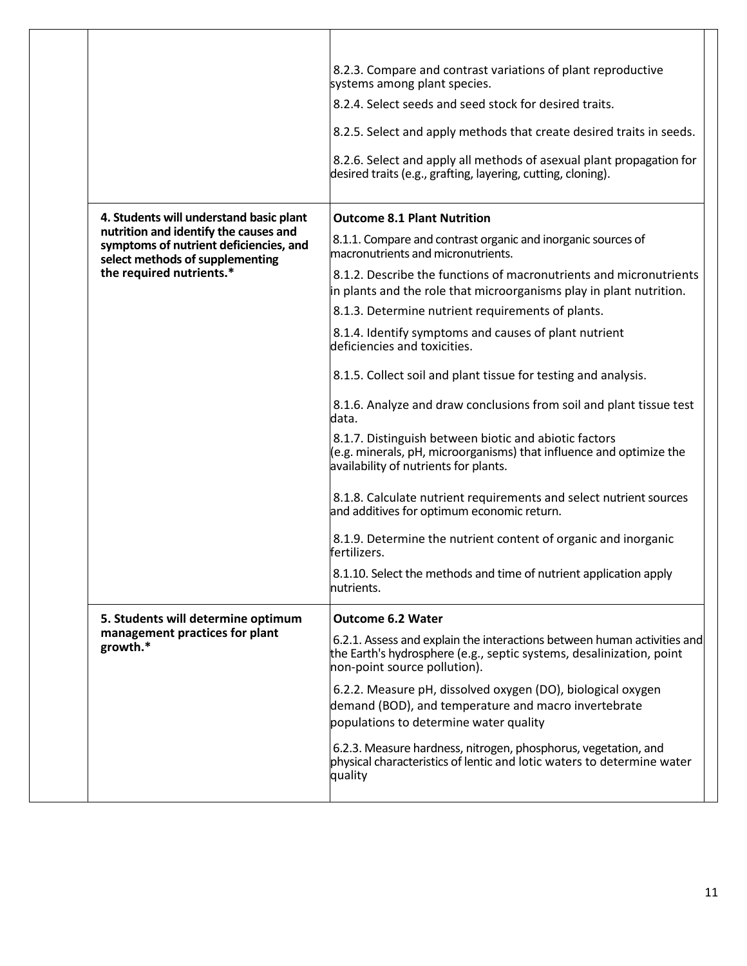| 8.2.3. Compare and contrast variations of plant reproductive<br>systems among plant species.                                                                                    |
|---------------------------------------------------------------------------------------------------------------------------------------------------------------------------------|
| 8.2.4. Select seeds and seed stock for desired traits.                                                                                                                          |
| 8.2.5. Select and apply methods that create desired traits in seeds.                                                                                                            |
| 8.2.6. Select and apply all methods of asexual plant propagation for<br>desired traits (e.g., grafting, layering, cutting, cloning).                                            |
| <b>Outcome 8.1 Plant Nutrition</b>                                                                                                                                              |
| 8.1.1. Compare and contrast organic and inorganic sources of<br>macronutrients and micronutrients.                                                                              |
| 8.1.2. Describe the functions of macronutrients and micronutrients                                                                                                              |
| in plants and the role that microorganisms play in plant nutrition.                                                                                                             |
| 8.1.3. Determine nutrient requirements of plants.                                                                                                                               |
| 8.1.4. Identify symptoms and causes of plant nutrient<br>deficiencies and toxicities.                                                                                           |
| 8.1.5. Collect soil and plant tissue for testing and analysis.                                                                                                                  |
| 8.1.6. Analyze and draw conclusions from soil and plant tissue test<br>data.                                                                                                    |
| 8.1.7. Distinguish between biotic and abiotic factors<br>(e.g. minerals, pH, microorganisms) that influence and optimize the<br>availability of nutrients for plants.           |
| 8.1.8. Calculate nutrient requirements and select nutrient sources<br>and additives for optimum economic return.                                                                |
| 8.1.9. Determine the nutrient content of organic and inorganic<br>fertilizers.                                                                                                  |
| 8.1.10. Select the methods and time of nutrient application apply<br>nutrients.                                                                                                 |
| <b>Outcome 6.2 Water</b>                                                                                                                                                        |
| 6.2.1. Assess and explain the interactions between human activities and<br>the Earth's hydrosphere (e.g., septic systems, desalinization, point<br>non-point source pollution). |
| 6.2.2. Measure pH, dissolved oxygen (DO), biological oxygen<br>demand (BOD), and temperature and macro invertebrate<br>populations to determine water quality                   |
| 6.2.3. Measure hardness, nitrogen, phosphorus, vegetation, and<br>physical characteristics of lentic and lotic waters to determine water<br>quality                             |
|                                                                                                                                                                                 |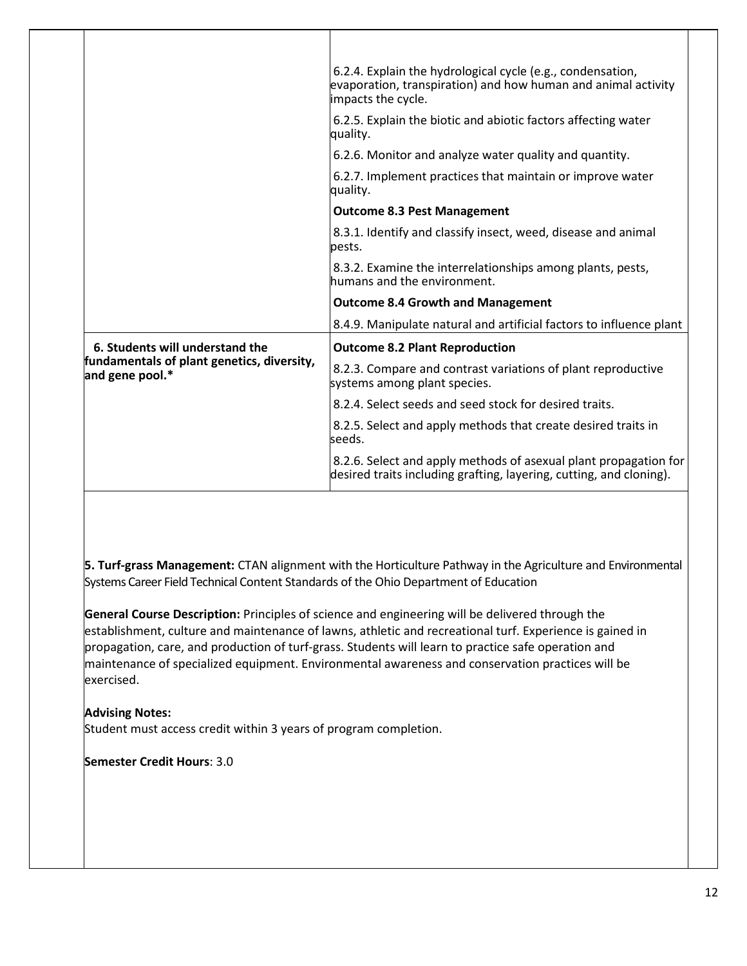|                                                                                                  | 6.2.4. Explain the hydrological cycle (e.g., condensation,<br>evaporation, transpiration) and how human and animal activity<br>impacts the cycle. |
|--------------------------------------------------------------------------------------------------|---------------------------------------------------------------------------------------------------------------------------------------------------|
|                                                                                                  | 6.2.5. Explain the biotic and abiotic factors affecting water<br>quality.                                                                         |
|                                                                                                  | 6.2.6. Monitor and analyze water quality and quantity.                                                                                            |
|                                                                                                  | 6.2.7. Implement practices that maintain or improve water<br>quality.                                                                             |
|                                                                                                  | <b>Outcome 8.3 Pest Management</b>                                                                                                                |
|                                                                                                  | 8.3.1. Identify and classify insect, weed, disease and animal<br>pests.                                                                           |
|                                                                                                  | 8.3.2. Examine the interrelationships among plants, pests,<br>humans and the environment.                                                         |
|                                                                                                  | <b>Outcome 8.4 Growth and Management</b>                                                                                                          |
|                                                                                                  | 8.4.9. Manipulate natural and artificial factors to influence plant                                                                               |
| 6. Students will understand the<br>fundamentals of plant genetics, diversity,<br>and gene pool.* | <b>Outcome 8.2 Plant Reproduction</b>                                                                                                             |
|                                                                                                  | 8.2.3. Compare and contrast variations of plant reproductive<br>systems among plant species.                                                      |
|                                                                                                  | 8.2.4. Select seeds and seed stock for desired traits.                                                                                            |
|                                                                                                  | 8.2.5. Select and apply methods that create desired traits in<br>seeds.                                                                           |
|                                                                                                  | 8.2.6. Select and apply methods of asexual plant propagation for<br>desired traits including grafting, layering, cutting, and cloning).           |
|                                                                                                  |                                                                                                                                                   |

**5. Turf-grass Management:** CTAN alignment with the Horticulture Pathway in the Agriculture and Environmental Systems Career Field Technical Content Standards of the Ohio Department of Education

**General Course Description:** Principles of science and engineering will be delivered through the establishment, culture and maintenance of lawns, athletic and recreational turf. Experience is gained in propagation, care, and production of turf-grass. Students will learn to practice safe operation and maintenance of specialized equipment. Environmental awareness and conservation practices will be exercised.

# **Advising Notes:**

 $\mathbf{I}$ 

Student must access credit within 3 years of program completion.

**Semester Credit Hours**: 3.0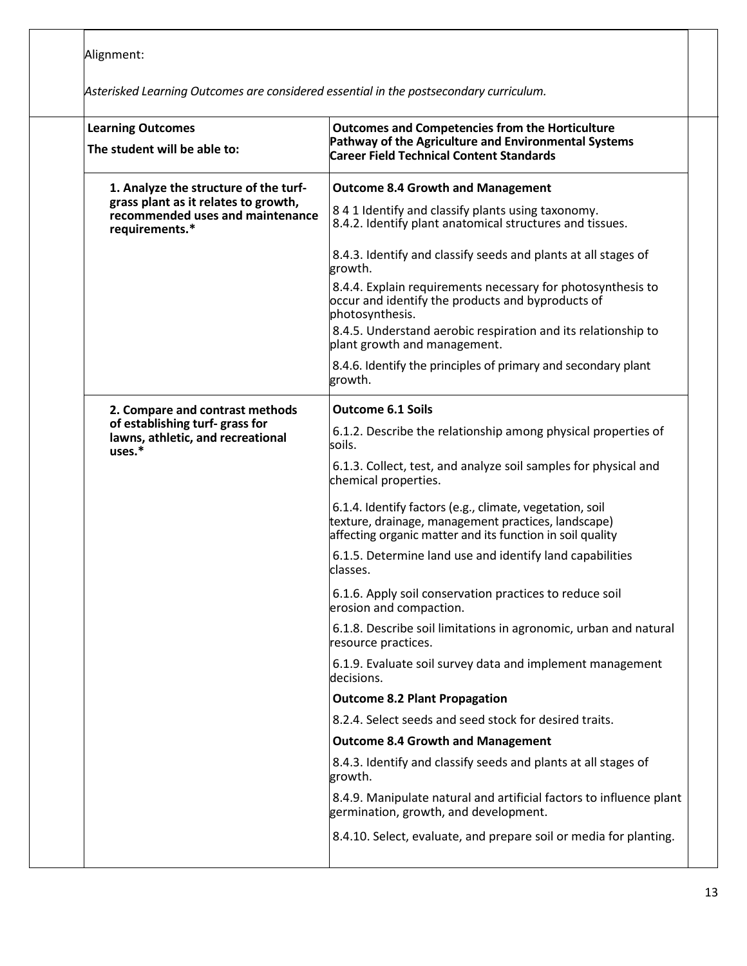Alignment:

| <b>Learning Outcomes</b><br>The student will be able to:                                   | <b>Outcomes and Competencies from the Horticulture</b><br>Pathway of the Agriculture and Environmental Systems<br><b>Career Field Technical Content Standards</b>            |
|--------------------------------------------------------------------------------------------|------------------------------------------------------------------------------------------------------------------------------------------------------------------------------|
| 1. Analyze the structure of the turf-                                                      | <b>Outcome 8.4 Growth and Management</b>                                                                                                                                     |
| grass plant as it relates to growth,<br>recommended uses and maintenance<br>requirements.* | 841 Identify and classify plants using taxonomy.<br>8.4.2. Identify plant anatomical structures and tissues.                                                                 |
|                                                                                            | 8.4.3. Identify and classify seeds and plants at all stages of<br>growth.                                                                                                    |
|                                                                                            | 8.4.4. Explain requirements necessary for photosynthesis to<br>occur and identify the products and byproducts of<br>photosynthesis.                                          |
|                                                                                            | 8.4.5. Understand aerobic respiration and its relationship to<br>plant growth and management.                                                                                |
|                                                                                            | 8.4.6. Identify the principles of primary and secondary plant<br>growth.                                                                                                     |
| 2. Compare and contrast methods                                                            | <b>Outcome 6.1 Soils</b>                                                                                                                                                     |
| of establishing turf-grass for<br>lawns, athletic, and recreational<br>uses.*              | 6.1.2. Describe the relationship among physical properties of<br>soils.                                                                                                      |
|                                                                                            | 6.1.3. Collect, test, and analyze soil samples for physical and<br>chemical properties.                                                                                      |
|                                                                                            | 6.1.4. Identify factors (e.g., climate, vegetation, soil<br>texture, drainage, management practices, landscape)<br>affecting organic matter and its function in soil quality |
|                                                                                            | 6.1.5. Determine land use and identify land capabilities<br>classes.                                                                                                         |
|                                                                                            | 6.1.6. Apply soil conservation practices to reduce soil<br>erosion and compaction.                                                                                           |
|                                                                                            | 6.1.8. Describe soil limitations in agronomic, urban and natural<br>resource practices.                                                                                      |
|                                                                                            | 6.1.9. Evaluate soil survey data and implement management<br>decisions.                                                                                                      |
|                                                                                            | <b>Outcome 8.2 Plant Propagation</b>                                                                                                                                         |
|                                                                                            | 8.2.4. Select seeds and seed stock for desired traits.                                                                                                                       |
|                                                                                            | <b>Outcome 8.4 Growth and Management</b>                                                                                                                                     |
|                                                                                            | 8.4.3. Identify and classify seeds and plants at all stages of<br>growth.                                                                                                    |
|                                                                                            | 8.4.9. Manipulate natural and artificial factors to influence plant<br>germination, growth, and development.                                                                 |
|                                                                                            | 8.4.10. Select, evaluate, and prepare soil or media for planting.                                                                                                            |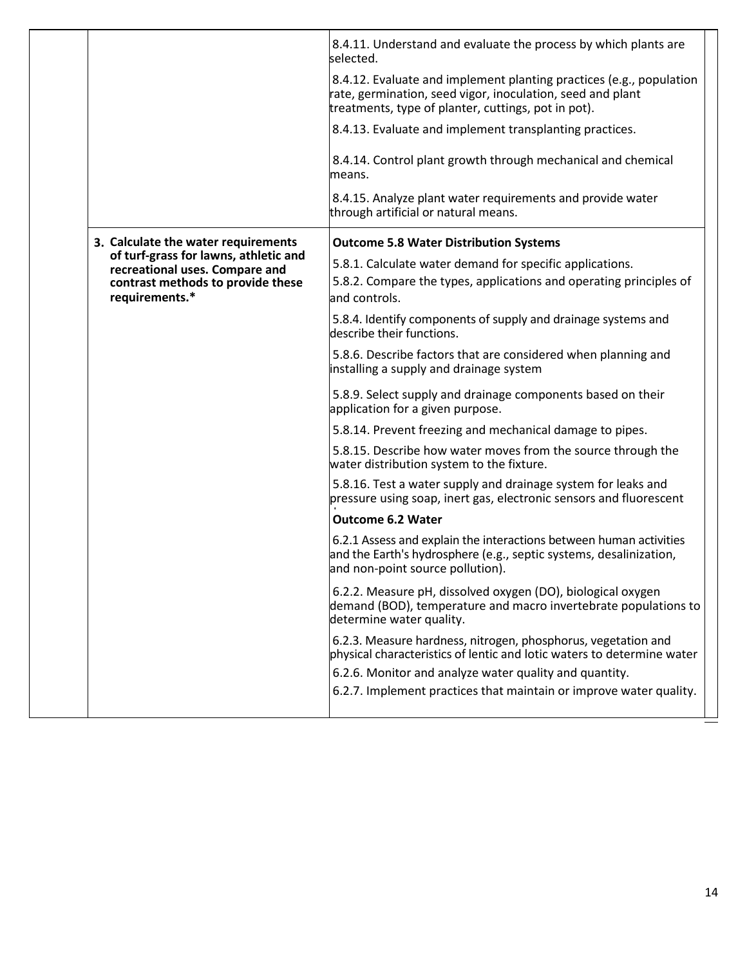|                                                                         | 8.4.11. Understand and evaluate the process by which plants are<br>selected.                                                                                                             |
|-------------------------------------------------------------------------|------------------------------------------------------------------------------------------------------------------------------------------------------------------------------------------|
|                                                                         | 8.4.12. Evaluate and implement planting practices (e.g., population<br>rate, germination, seed vigor, inoculation, seed and plant<br>treatments, type of planter, cuttings, pot in pot). |
|                                                                         | 8.4.13. Evaluate and implement transplanting practices.                                                                                                                                  |
|                                                                         | 8.4.14. Control plant growth through mechanical and chemical<br>means.                                                                                                                   |
|                                                                         | 8.4.15. Analyze plant water requirements and provide water<br>through artificial or natural means.                                                                                       |
| 3. Calculate the water requirements                                     | <b>Outcome 5.8 Water Distribution Systems</b>                                                                                                                                            |
| of turf-grass for lawns, athletic and<br>recreational uses. Compare and | 5.8.1. Calculate water demand for specific applications.                                                                                                                                 |
| contrast methods to provide these<br>requirements.*                     | 5.8.2. Compare the types, applications and operating principles of<br>and controls.                                                                                                      |
|                                                                         | 5.8.4. Identify components of supply and drainage systems and<br>describe their functions.                                                                                               |
|                                                                         | 5.8.6. Describe factors that are considered when planning and<br>installing a supply and drainage system                                                                                 |
|                                                                         | 5.8.9. Select supply and drainage components based on their<br>application for a given purpose.                                                                                          |
|                                                                         | 5.8.14. Prevent freezing and mechanical damage to pipes.                                                                                                                                 |
|                                                                         | 5.8.15. Describe how water moves from the source through the<br>water distribution system to the fixture.                                                                                |
|                                                                         | 5.8.16. Test a water supply and drainage system for leaks and<br>pressure using soap, inert gas, electronic sensors and fluorescent                                                      |
|                                                                         | <b>Outcome 6.2 Water</b>                                                                                                                                                                 |
|                                                                         | 6.2.1 Assess and explain the interactions between human activities<br>and the Earth's hydrosphere (e.g., septic systems, desalinization,<br>and non-point source pollution).             |
|                                                                         | 6.2.2. Measure pH, dissolved oxygen (DO), biological oxygen<br>demand (BOD), temperature and macro invertebrate populations to<br>determine water quality.                               |
|                                                                         | 6.2.3. Measure hardness, nitrogen, phosphorus, vegetation and<br>physical characteristics of lentic and lotic waters to determine water                                                  |
|                                                                         | 6.2.6. Monitor and analyze water quality and quantity.                                                                                                                                   |
|                                                                         | 6.2.7. Implement practices that maintain or improve water quality.                                                                                                                       |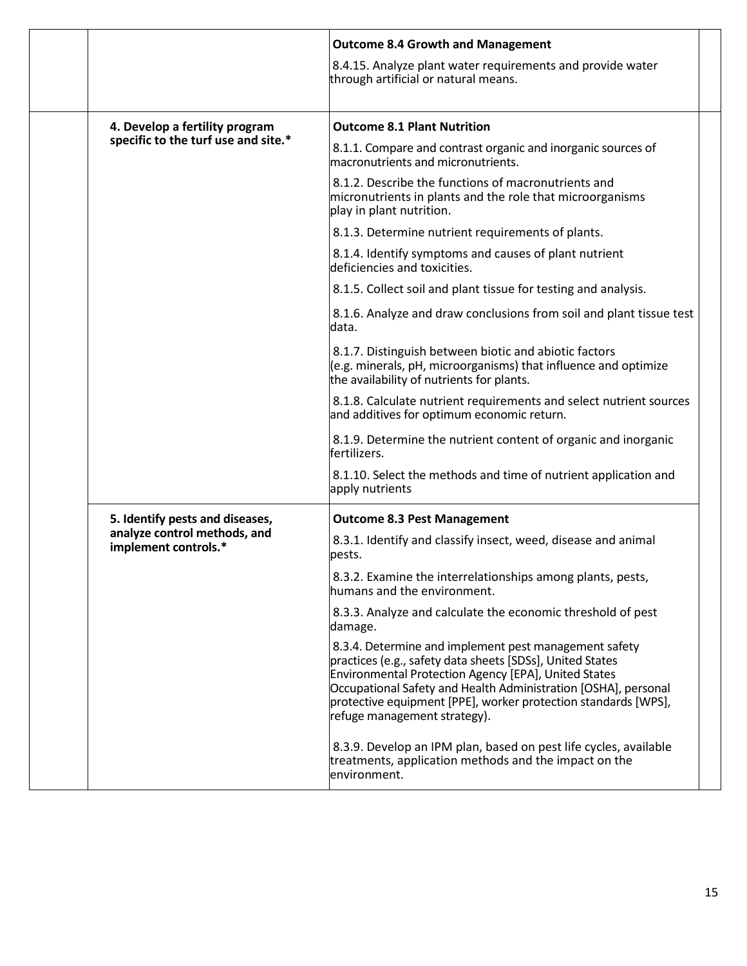|                                                      | <b>Outcome 8.4 Growth and Management</b>                                                                                                                                                                                                                                                                                                              |
|------------------------------------------------------|-------------------------------------------------------------------------------------------------------------------------------------------------------------------------------------------------------------------------------------------------------------------------------------------------------------------------------------------------------|
|                                                      | 8.4.15. Analyze plant water requirements and provide water<br>through artificial or natural means.                                                                                                                                                                                                                                                    |
| 4. Develop a fertility program                       | <b>Outcome 8.1 Plant Nutrition</b>                                                                                                                                                                                                                                                                                                                    |
| specific to the turf use and site.*                  | 8.1.1. Compare and contrast organic and inorganic sources of<br>macronutrients and micronutrients.                                                                                                                                                                                                                                                    |
|                                                      | 8.1.2. Describe the functions of macronutrients and<br>micronutrients in plants and the role that microorganisms<br>play in plant nutrition.                                                                                                                                                                                                          |
|                                                      | 8.1.3. Determine nutrient requirements of plants.                                                                                                                                                                                                                                                                                                     |
|                                                      | 8.1.4. Identify symptoms and causes of plant nutrient<br>deficiencies and toxicities.                                                                                                                                                                                                                                                                 |
|                                                      | 8.1.5. Collect soil and plant tissue for testing and analysis.                                                                                                                                                                                                                                                                                        |
|                                                      | 8.1.6. Analyze and draw conclusions from soil and plant tissue test<br>data.                                                                                                                                                                                                                                                                          |
|                                                      | 8.1.7. Distinguish between biotic and abiotic factors<br>(e.g. minerals, pH, microorganisms) that influence and optimize<br>the availability of nutrients for plants.                                                                                                                                                                                 |
|                                                      | 8.1.8. Calculate nutrient requirements and select nutrient sources<br>and additives for optimum economic return.                                                                                                                                                                                                                                      |
|                                                      | 8.1.9. Determine the nutrient content of organic and inorganic<br>fertilizers.                                                                                                                                                                                                                                                                        |
|                                                      | 8.1.10. Select the methods and time of nutrient application and<br>apply nutrients                                                                                                                                                                                                                                                                    |
| 5. Identify pests and diseases,                      | <b>Outcome 8.3 Pest Management</b>                                                                                                                                                                                                                                                                                                                    |
| analyze control methods, and<br>implement controls.* | 8.3.1. Identify and classify insect, weed, disease and animal<br>pests.                                                                                                                                                                                                                                                                               |
|                                                      | 8.3.2. Examine the interrelationships among plants, pests,<br>humans and the environment.                                                                                                                                                                                                                                                             |
|                                                      | 8.3.3. Analyze and calculate the economic threshold of pest<br>damage.                                                                                                                                                                                                                                                                                |
|                                                      | 8.3.4. Determine and implement pest management safety<br>practices (e.g., safety data sheets [SDSs], United States<br><b>Environmental Protection Agency [EPA], United States</b><br>Occupational Safety and Health Administration [OSHA], personal<br>protective equipment [PPE], worker protection standards [WPS],<br>refuge management strategy). |
|                                                      | 8.3.9. Develop an IPM plan, based on pest life cycles, available<br>treatments, application methods and the impact on the<br>environment.                                                                                                                                                                                                             |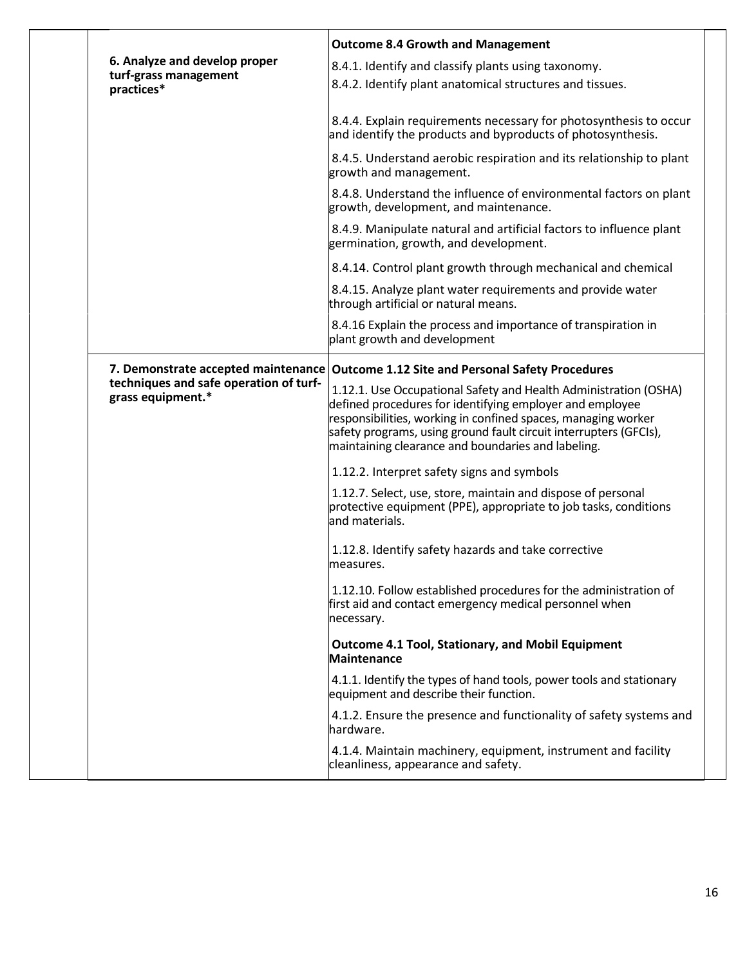|  |                                                                                                    | <b>Outcome 8.4 Growth and Management</b>                                                                                                                                                                                                                                                                                 |
|--|----------------------------------------------------------------------------------------------------|--------------------------------------------------------------------------------------------------------------------------------------------------------------------------------------------------------------------------------------------------------------------------------------------------------------------------|
|  | 6. Analyze and develop proper<br>turf-grass management<br>practices*                               | 8.4.1. Identify and classify plants using taxonomy.<br>8.4.2. Identify plant anatomical structures and tissues.                                                                                                                                                                                                          |
|  |                                                                                                    | 8.4.4. Explain requirements necessary for photosynthesis to occur<br>and identify the products and byproducts of photosynthesis.                                                                                                                                                                                         |
|  |                                                                                                    | 8.4.5. Understand aerobic respiration and its relationship to plant<br>growth and management.                                                                                                                                                                                                                            |
|  |                                                                                                    | 8.4.8. Understand the influence of environmental factors on plant<br>growth, development, and maintenance.                                                                                                                                                                                                               |
|  |                                                                                                    | 8.4.9. Manipulate natural and artificial factors to influence plant<br>germination, growth, and development.                                                                                                                                                                                                             |
|  |                                                                                                    | 8.4.14. Control plant growth through mechanical and chemical                                                                                                                                                                                                                                                             |
|  |                                                                                                    | 8.4.15. Analyze plant water requirements and provide water<br>through artificial or natural means.                                                                                                                                                                                                                       |
|  |                                                                                                    | 8.4.16 Explain the process and importance of transpiration in<br>plant growth and development                                                                                                                                                                                                                            |
|  | 7. Demonstrate accepted maintenance<br>techniques and safe operation of turf-<br>grass equipment.* | <b>Outcome 1.12 Site and Personal Safety Procedures</b>                                                                                                                                                                                                                                                                  |
|  |                                                                                                    | 1.12.1. Use Occupational Safety and Health Administration (OSHA)<br>defined procedures for identifying employer and employee<br>responsibilities, working in confined spaces, managing worker<br>safety programs, using ground fault circuit interrupters (GFCIs),<br>maintaining clearance and boundaries and labeling. |
|  |                                                                                                    | 1.12.2. Interpret safety signs and symbols                                                                                                                                                                                                                                                                               |
|  |                                                                                                    | 1.12.7. Select, use, store, maintain and dispose of personal<br>protective equipment (PPE), appropriate to job tasks, conditions<br>land materials.                                                                                                                                                                      |
|  |                                                                                                    | 1.12.8. Identify safety hazards and take corrective<br>measures.                                                                                                                                                                                                                                                         |
|  |                                                                                                    | 1.12.10. Follow established procedures for the administration of<br>first aid and contact emergency medical personnel when<br>necessary.                                                                                                                                                                                 |
|  |                                                                                                    | <b>Outcome 4.1 Tool, Stationary, and Mobil Equipment</b><br><b>Maintenance</b>                                                                                                                                                                                                                                           |
|  |                                                                                                    | 4.1.1. Identify the types of hand tools, power tools and stationary<br>equipment and describe their function.                                                                                                                                                                                                            |
|  |                                                                                                    | 4.1.2. Ensure the presence and functionality of safety systems and<br>hardware.                                                                                                                                                                                                                                          |
|  |                                                                                                    | 4.1.4. Maintain machinery, equipment, instrument and facility<br>cleanliness, appearance and safety.                                                                                                                                                                                                                     |